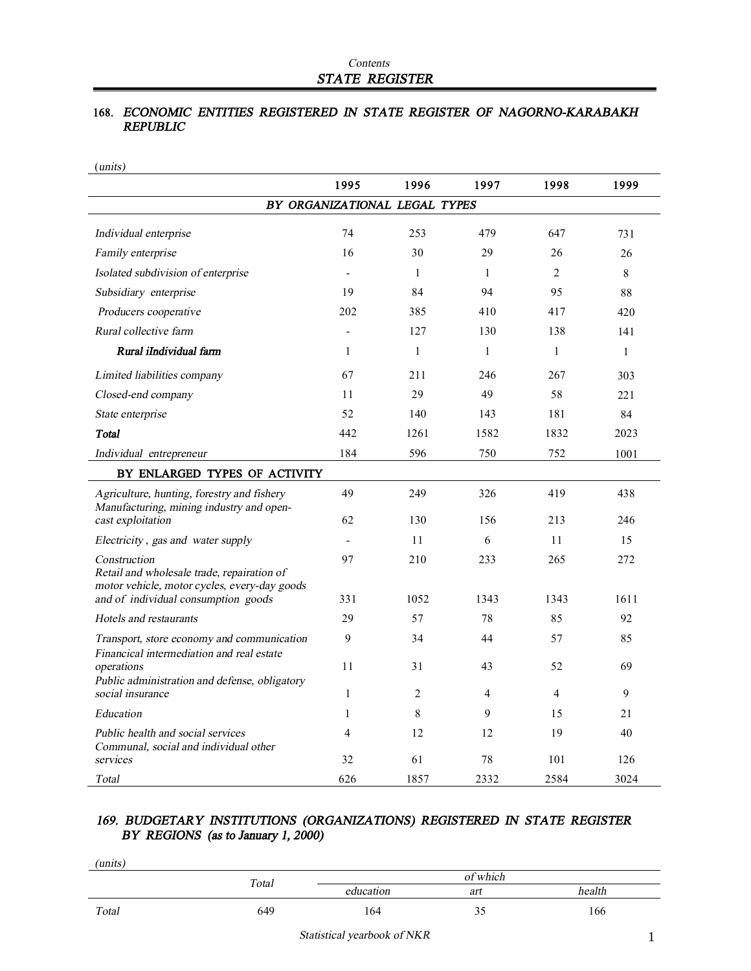## **168.** *ECONOMIC ENTITIES REGISTERED IN STATE REGISTER OF NAGORNO-KARABAKH REPUBLIC*

| ( <i>units</i> )                                                                                           |                |                               |                |                |              |
|------------------------------------------------------------------------------------------------------------|----------------|-------------------------------|----------------|----------------|--------------|
|                                                                                                            | 1995           | 1996                          | 1997           | 1998           | 1999         |
|                                                                                                            |                | BY ORGANIZATIONAL LEGAL TYPES |                |                |              |
| Individual enterprise                                                                                      | 74             | 253                           | 479            | 647            | 731          |
| Family enterprise                                                                                          | 16             | 30                            | 29             | 26             | 26           |
| Isolated subdivision of enterprise                                                                         |                | $\mathbf{1}$                  | $\mathbf{1}$   | 2              | 8            |
| Subsidiary enterprise                                                                                      | 19             | 84                            | 94             | 95             | 88           |
| Producers cooperative                                                                                      | 202            | 385                           | 410            | 417            | 420          |
| Rural collective farm                                                                                      |                | 127                           | 130            | 138            | 141          |
| Rural iIndividual farm                                                                                     | 1              | $\mathbf{1}$                  | $\mathbf{1}$   | $\mathbf{1}$   | $\mathbf{1}$ |
| Limited liabilities company                                                                                | 67             | 211                           | 246            | 267            | 303          |
| Closed-end company                                                                                         | 11             | 29                            | 49             | 58             | 221          |
| State enterprise                                                                                           | 52             | 140                           | 143            | 181            | 84           |
| Total                                                                                                      | 442            | 1261                          | 1582           | 1832           | 2023         |
| Individual entrepreneur                                                                                    | 184            | 596                           | 750            | 752            | 1001         |
| BY ENLARGED TYPES OF ACTIVITY                                                                              |                |                               |                |                |              |
| Agriculture, hunting, forestry and fishery<br>Manufacturing, mining industry and open-                     | 49             | 249                           | 326            | 419            | 438          |
| cast exploitation                                                                                          | 62             | 130                           | 156            | 213            | 246          |
| Electricity, gas and water supply                                                                          |                | 11                            | 6              | 11             | 15           |
| Construction<br>Retail and wholesale trade, repairation of<br>motor vehicle, motor cycles, every-day goods | 97             | 210                           | 233            | 265            | 272          |
| and of individual consumption goods                                                                        | 331            | 1052                          | 1343           | 1343           | 1611         |
| Hotels and restaurants                                                                                     | 29             | 57                            | 78             | 85             | 92           |
| Transport, store economy and communication<br>Financical intermediation and real estate                    | 9              | 34                            | 44             | 57             | 85           |
| operations                                                                                                 | 11             | 31                            | 43             | 52             | 69           |
| Public administration and defense, obligatory<br>social insurance                                          | $\mathbf{1}$   | 2                             | $\overline{4}$ | $\overline{4}$ | 9            |
| Education                                                                                                  | $\mathbf{1}$   | 8                             | 9              | 15             | 21           |
| Public health and social services<br>Communal, social and individual other                                 | $\overline{4}$ | 12                            | 12             | 19             | 40           |
| services                                                                                                   | 32             | 61                            | 78             | 101            | 126          |
| Total                                                                                                      | 626            | 1857                          | 2332           | 2584           | 3024         |

## *169. BUDGETARY INSTITUTIONS (ORGANIZATIONS) REGISTERED IN STATE REGISTER BY REGIONS (as to January 1, 2000)*

| (units) |       |           |     |        |  |
|---------|-------|-----------|-----|--------|--|
|         | Total | of which  |     |        |  |
|         |       | education | art | health |  |
| Total   | 649   | 164       | 33  | 166    |  |